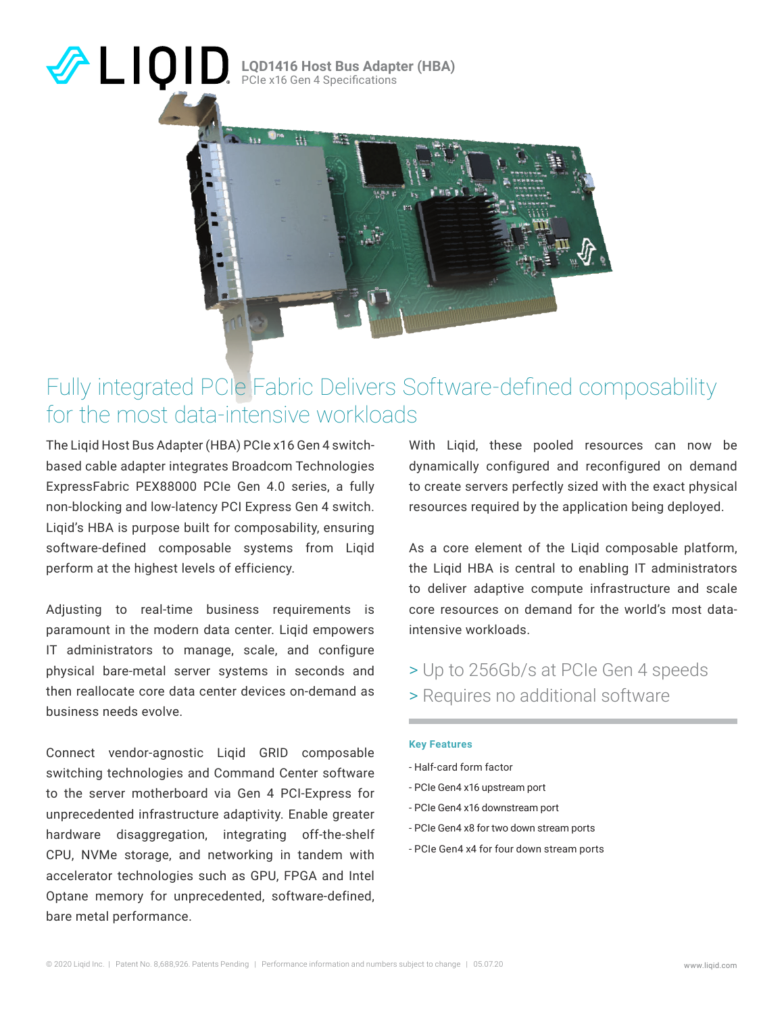### **LQD1416 Host Bus Adapter (HBA)** PCIe x16 Gen 4 Specifications



### Fully integrated PCIe Fabric Delivers Software-defined composability for the most data-intensive workloads

The Liqid Host Bus Adapter (HBA) PCIe x16 Gen 4 switchbased cable adapter integrates Broadcom Technologies ExpressFabric PEX88000 PCIe Gen 4.0 series, a fully non-blocking and low-latency PCI Express Gen 4 switch. Liqid's HBA is purpose built for composability, ensuring software-defined composable systems from Liqid perform at the highest levels of efficiency.

Adjusting to real-time business requirements is paramount in the modern data center. Liqid empowers IT administrators to manage, scale, and configure physical bare-metal server systems in seconds and then reallocate core data center devices on-demand as business needs evolve.

Connect vendor-agnostic Liqid GRID composable switching technologies and Command Center software to the server motherboard via Gen 4 PCI-Express for unprecedented infrastructure adaptivity. Enable greater hardware disaggregation, integrating off-the-shelf CPU, NVMe storage, and networking in tandem with accelerator technologies such as GPU, FPGA and Intel Optane memory for unprecedented, software-defined, bare metal performance.

With Liqid, these pooled resources can now be dynamically configured and reconfigured on demand to create servers perfectly sized with the exact physical resources required by the application being deployed.

As a core element of the Liqid composable platform, the Liqid HBA is central to enabling IT administrators to deliver adaptive compute infrastructure and scale core resources on demand for the world's most dataintensive workloads.

> Up to 256Gb/s at PCIe Gen 4 speeds > Requires no additional software

### **Key Features**

- Half-card form factor
- PCIe Gen4 x16 upstream port
- PCIe Gen4 x16 downstream port
- PCIe Gen4 x8 for two down stream ports
- PCIe Gen4 x4 for four down stream ports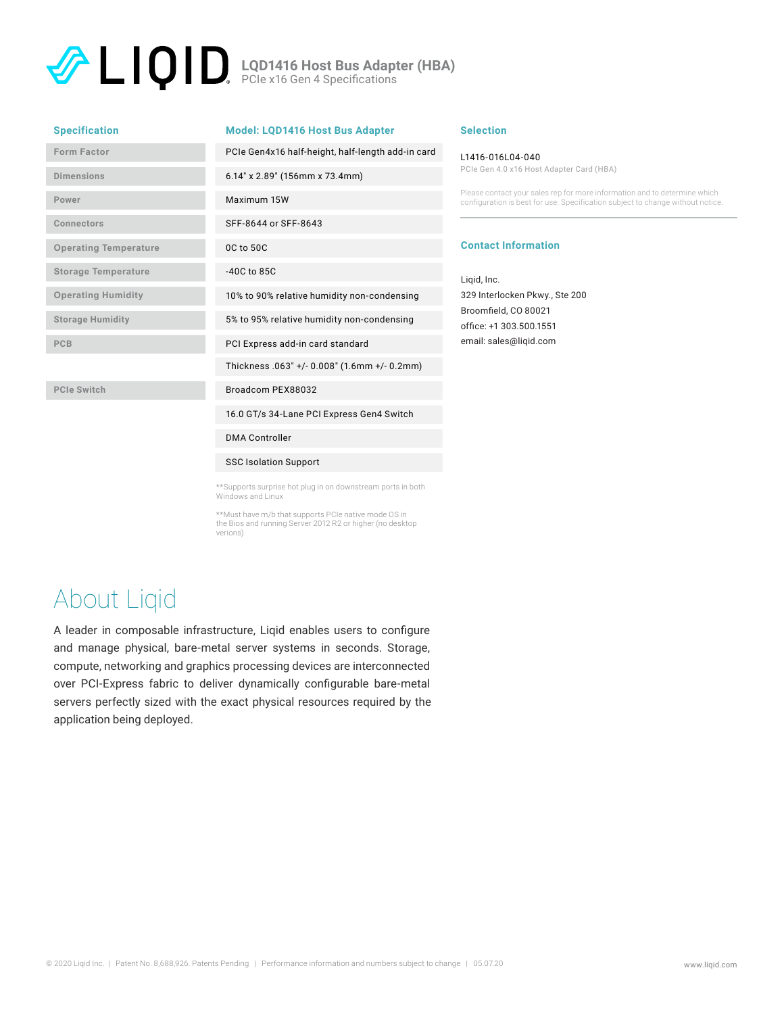**LQD1416 Host Bus Adapter (HBA)** PCIe x16 Gen 4 Specifications

| <b>Specification</b>         | <b>Model: LQD1416 Host Bus Adapter</b>            |
|------------------------------|---------------------------------------------------|
| Form Factor                  | PCIe Gen4x16 half-height, half-length add-in card |
| Dimensions                   | 6.14" x 2.89" (156mm x 73.4mm)                    |
| Power                        | Maximum 15W                                       |
| Connectors                   | SFF-8644 or SFF-8643                              |
| <b>Operating Temperature</b> | 0C to 50C                                         |
| <b>Storage Temperature</b>   | $-40C$ to $85C$                                   |
| <b>Operating Humidity</b>    | 10% to 90% relative humidity non-condensing       |
| <b>Storage Humidity</b>      | 5% to 95% relative humidity non-condensing        |
| <b>PCB</b>                   | PCI Express add-in card standard                  |
|                              | Thickness .063" +/- 0.008" (1.6mm +/- 0.2mm)      |
| <b>PCIe Switch</b>           | Broadcom PEX88032                                 |
|                              | 16.0 GT/s 34-Lane PCI Express Gen4 Switch         |
|                              | <b>DMA Controller</b>                             |
|                              | <b>SSC Isolation Support</b>                      |

\*\*Supports surprise hot plug in on downstream ports in both Windows and Linux

\*\*Must have m/b that supports PCIe native mode OS in the Bios and running Server 2012 R2 or higher (no desktop verions)

# About Liqid

A leader in composable infrastructure, Liqid enables users to configure and manage physical, bare-metal server systems in seconds. Storage, compute, networking and graphics processing devices are interconnected over PCI-Express fabric to deliver dynamically configurable bare-metal servers perfectly sized with the exact physical resources required by the application being deployed.

### **Selection**

#### L1416-016L04-040

PCIe Gen 4.0 x16 Host Adapter Card (HBA)

Please contact your sales rep for more information and to determine which configuration is best for use. Specification subject to change without notice.

### **Contact Information**

Liqid, Inc. 329 Interlocken Pkwy., Ste 200 Broomfield, CO 80021 office: +1 303.500.1551 email: sales@liqid.com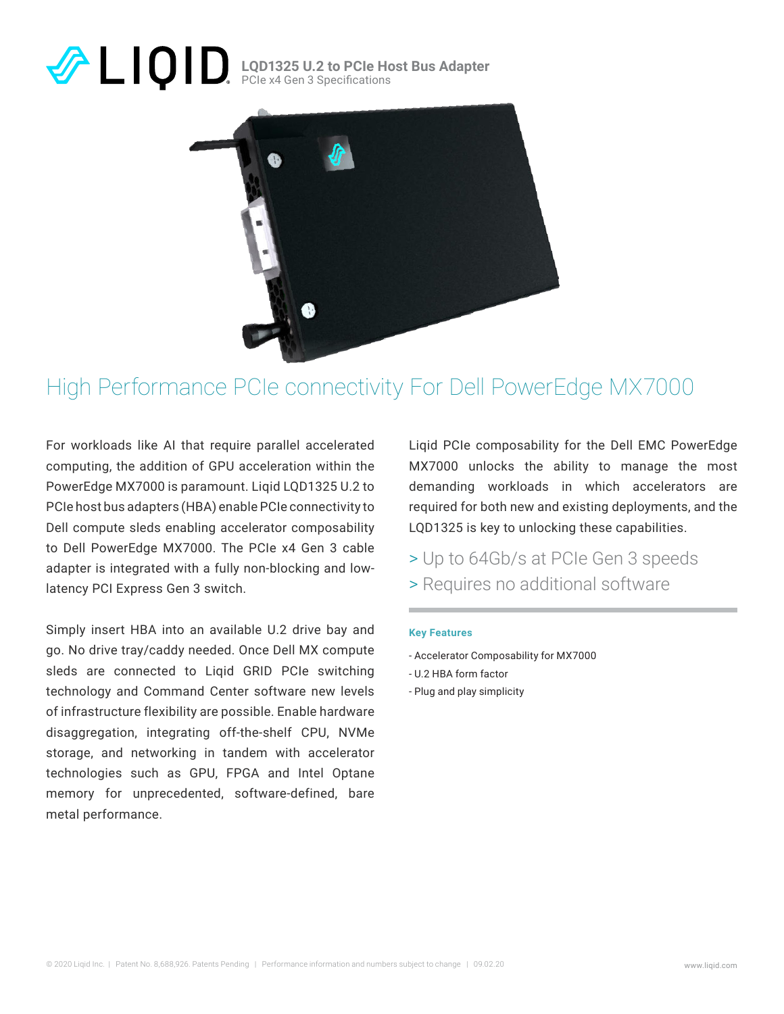# **LQD1325 U.2 to PCIe Host Bus Adapter** PCIe x4 Gen 3 Specifications



# High Performance PCIe connectivity For Dell PowerEdge MX7000

For workloads like AI that require parallel accelerated computing, the addition of GPU acceleration within the PowerEdge MX7000 is paramount. Liqid LQD1325 U.2 to PCIe host bus adapters (HBA) enable PCIe connectivity to Dell compute sleds enabling accelerator composability to Dell PowerEdge MX7000. The PCIe x4 Gen 3 cable adapter is integrated with a fully non-blocking and lowlatency PCI Express Gen 3 switch.

Simply insert HBA into an available U.2 drive bay and go. No drive tray/caddy needed. Once Dell MX compute sleds are connected to Liqid GRID PCIe switching technology and Command Center software new levels of infrastructure flexibility are possible. Enable hardware disaggregation, integrating off-the-shelf CPU, NVMe storage, and networking in tandem with accelerator technologies such as GPU, FPGA and Intel Optane memory for unprecedented, software-defined, bare metal performance.

Liqid PCIe composability for the Dell EMC PowerEdge MX7000 unlocks the ability to manage the most demanding workloads in which accelerators are required for both new and existing deployments, and the LQD1325 is key to unlocking these capabilities.

- > Up to 64Gb/s at PCIe Gen 3 speeds
- > Requires no additional software

### **Key Features**

- Accelerator Composability for MX7000
- U.2 HBA form factor
- Plug and play simplicity